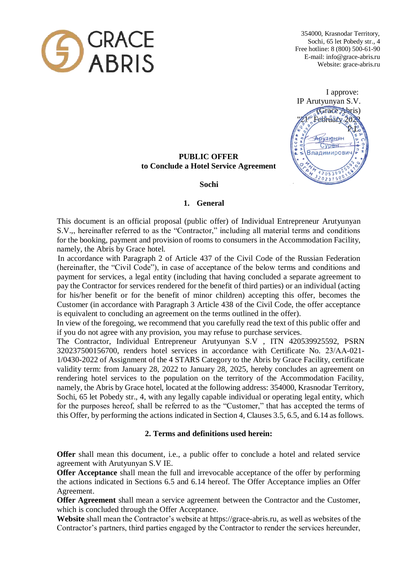

354000, Krasnodar Territory, Sochi, 65 let Pobedy str., 4 Free hotline: 8 (800) 500-61-90 E-mail: info@grace-abris.ru Website: grace-abris.ru

 I approve: IP Arutyunyan S.V. (Grace Abris) "February 20  $\mathbb{R}$ **Арутюнян** HAH, Сурен Владимирович ś  $20539$  $023750$ 

# **PUBLIC OFFER to Conclude a Hotel Service Agreement**

 **Sochi** 

### **1. General**

This document is an official proposal (public offer) of Individual Entrepreneur Arutyunyan S.V.,, hereinafter referred to as the "Contractor," including all material terms and conditions for the booking, payment and provision of rooms to consumers in the Accommodation Facility, namely, the Abris by Grace hotel.

 In accordance with Paragraph 2 of Article 437 of the Civil Code of the Russian Federation (hereinafter, the "Civil Code"), in case of acceptance of the below terms and conditions and payment for services, a legal entity (including that having concluded a separate agreement to pay the Contractor for services rendered for the benefit of third parties) or an individual (acting for his/her benefit or for the benefit of minor children) accepting this offer, becomes the Customer (in accordance with Paragraph 3 Article 438 of the Civil Code, the offer acceptance is equivalent to concluding an agreement on the terms outlined in the offer).

In view of the foregoing, we recommend that you carefully read the text of this public offer and if you do not agree with any provision, you may refuse to purchase services.

The Contractor, Individual Entrepreneur Arutyunyan S.V , ITN 420539925592, PSRN 320237500156700, renders hotel services in accordance with Certificate No. 23/АА-021- 1/0430-2022 of Assignment of the 4 STARS Category to the Abris by Grace Facility, certificate validity term: from January 28, 2022 to January 28, 2025, hereby concludes an agreement on rendering hotel services to the population on the territory of the Accommodation Facility, namely, the Abris by Grace hotel, located at the following address: 354000, Krasnodar Territory, Sochi, 65 let Pobedy str., 4, with any legally capable individual or operating legal entity, which for the purposes hereof, shall be referred to as the "Customer," that has accepted the terms of this Offer, by performing the actions indicated in Section 4, Clauses 3.5, 6.5, and 6.14 as follows.

## **2. Terms and definitions used herein:**

**Offer** shall mean this document, i.e., a public offer to conclude a hotel and related service agreement with Arutyunyan S.V IE.

**Offer Acceptance** shall mean the full and irrevocable acceptance of the offer by performing the actions indicated in Sections 6.5 and 6.14 hereof. The Offer Acceptance implies an Offer Agreement.

**Offer Agreement** shall mean a service agreement between the Contractor and the Customer, which is concluded through the Offer Acceptance.

**Website** shall mean the Contractor's website at https://grace-abris.ru, as well as websites of the Contractor's partners, third parties engaged by the Contractor to render the services hereunder,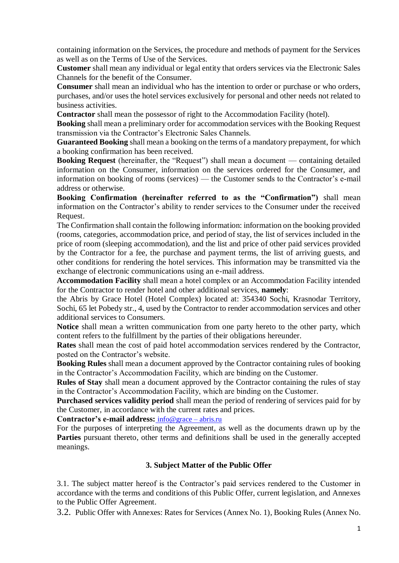containing information on the Services, the procedure and methods of payment for the Services as well as on the Terms of Use of the Services.

**Customer** shall mean any individual or legal entity that orders services via the Electronic Sales Channels for the benefit of the Consumer.

**Consumer** shall mean an individual who has the intention to order or purchase or who orders, purchases, and/or uses the hotel services exclusively for personal and other needs not related to business activities.

**Contractor** shall mean the possessor of right to the Accommodation Facility (hotel).

**Booking** shall mean a preliminary order for accommodation services with the Booking Request transmission via the Contractor's Electronic Sales Channels.

**Guaranteed Booking** shall mean a booking on the terms of a mandatory prepayment, for which a booking confirmation has been received.

**Booking Request** (hereinafter, the "Request") shall mean a document — containing detailed information on the Consumer, information on the services ordered for the Consumer, and information on booking of rooms (services) — the Customer sends to the Contractor's e-mail address or otherwise.

**Booking Confirmation (hereinafter referred to as the "Confirmation")** shall mean information on the Contractor's ability to render services to the Consumer under the received Request.

The Confirmation shall contain the following information: information on the booking provided (rooms, categories, accommodation price, and period of stay, the list of services included in the price of room (sleeping accommodation), and the list and price of other paid services provided by the Contractor for a fee, the purchase and payment terms, the list of arriving guests, and other conditions for rendering the hotel services. This information may be transmitted via the exchange of electronic communications using an e-mail address.

**Accommodation Facility** shall mean a hotel complex or an Accommodation Facility intended for the Contractor to render hotel and other additional services, **namely**:

the Abris by Grace Hotel (Hotel Complex) located at: 354340 Sochi, Krasnodar Territory, Sochi, 65 let Pobedy str., 4, used by the Contractor to render accommodation services and other additional services to Consumers.

**Notice** shall mean a written communication from one party hereto to the other party, which content refers to the fulfillment by the parties of their obligations hereunder.

**Rates** shall mean the cost of paid hotel accommodation services rendered by the Contractor, posted on the Contractor's website.

**Booking Rules** shall mean a document approved by the Contractor containing rules of booking in the Contractor's Accommodation Facility, which are binding on the Customer.

**Rules of Stay** shall mean a document approved by the Contractor containing the rules of stay in the Contractor's Accommodation Facility, which are binding on the Customer.

**Purchased services validity period** shall mean the period of rendering of services paid for by the Customer, in accordance with the current rates and prices.

**Contractor's e-mail address:** info@grace – abris.ru

For the purposes of interpreting the Agreement, as well as the documents drawn up by the **Parties** pursuant thereto, other terms and definitions shall be used in the generally accepted meanings.

### **3. Subject Matter of the Public Offer**

3.1. The subject matter hereof is the Contractor's paid services rendered to the Customer in accordance with the terms and conditions of this Public Offer, current legislation, and Annexes to the Public Offer Agreement.

3.2. Public Offer with Annexes: Rates for Services (Annex No. 1), Booking Rules (Annex No.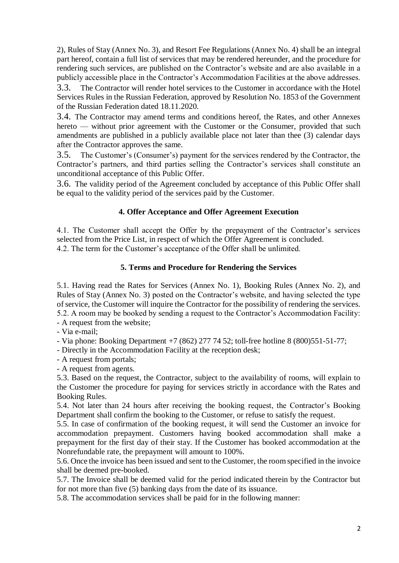2), Rules of Stay (Annex No. 3), and Resort Fee Regulations (Annex No. 4) shall be an integral part hereof, contain a full list of services that may be rendered hereunder, and the procedure for rendering such services, are published on the Contractor's website and are also available in a publicly accessible place in the Contractor's Accommodation Facilities at the above addresses.

3.3. The Contractor will render hotel services to the Customer in accordance with the Hotel Services Rules in the Russian Federation, approved by Resolution No. 1853 of the Government of the Russian Federation dated 18.11.2020.

3.4. The Contractor may amend terms and conditions hereof, the Rates, and other Annexes hereto — without prior agreement with the Customer or the Consumer, provided that such amendments are published in a publicly available place not later than thee (3) calendar days after the Contractor approves the same.

3.5. The Customer's (Consumer's) payment for the services rendered by the Contractor, the Contractor's partners, and third parties selling the Contractor's services shall constitute an unconditional acceptance of this Public Offer.

3.6. The validity period of the Agreement concluded by acceptance of this Public Offer shall be equal to the validity period of the services paid by the Customer.

## **4. Offer Acceptance and Offer Agreement Execution**

4.1. The Customer shall accept the Offer by the prepayment of the Contractor's services selected from the Price List, in respect of which the Offer Agreement is concluded. 4.2. The term for the Customer's acceptance of the Offer shall be unlimited.

## **5. Terms and Procedure for Rendering the Services**

5.1. Having read the Rates for Services (Annex No. 1), Booking Rules (Annex No. 2), and Rules of Stay (Annex No. 3) posted on the Contractor's website, and having selected the type of service, the Customer will inquire the Contractor for the possibility of rendering the services. 5.2. A room may be booked by sending a request to the Contractor's Accommodation Facility:

- A request from the website;
- Via e-mail;

- Via phone: Booking Department +7 (862) 277 74 52; toll-free hotline 8 (800)551-51-77;

- Directly in the Accommodation Facility at the reception desk;
- A request from portals;
- A request from agents.

5.3. Based on the request, the Contractor, subject to the availability of rooms, will explain to the Customer the procedure for paying for services strictly in accordance with the Rates and Booking Rules.

5.4. Not later than 24 hours after receiving the booking request, the Contractor's Booking Department shall confirm the booking to the Customer, or refuse to satisfy the request.

5.5. In case of confirmation of the booking request, it will send the Customer an invoice for accommodation prepayment. Customers having booked accommodation shall make a prepayment for the first day of their stay. If the Customer has booked accommodation at the Nonrefundable rate, the prepayment will amount to 100%.

5.6. Once the invoice has been issued and sent to the Customer, the room specified in the invoice shall be deemed pre-booked.

5.7. The Invoice shall be deemed valid for the period indicated therein by the Contractor but for not more than five (5) banking days from the date of its issuance.

5.8. The accommodation services shall be paid for in the following manner: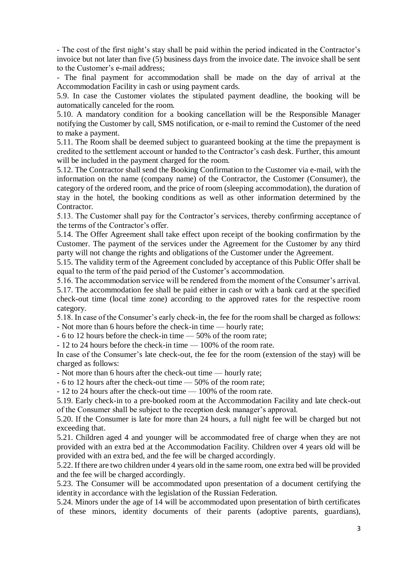- The cost of the first night's stay shall be paid within the period indicated in the Contractor's invoice but not later than five (5) business days from the invoice date. The invoice shall be sent to the Customer's e-mail address;

- The final payment for accommodation shall be made on the day of arrival at the Accommodation Facility in cash or using payment cards.

5.9. In case the Customer violates the stipulated payment deadline, the booking will be automatically canceled for the room.

5.10. A mandatory condition for a booking cancellation will be the Responsible Manager notifying the Customer by call, SMS notification, or e-mail to remind the Customer of the need to make a payment.

5.11. The Room shall be deemed subject to guaranteed booking at the time the prepayment is credited to the settlement account or handed to the Contractor's cash desk. Further, this amount will be included in the payment charged for the room.

5.12. The Contractor shall send the Booking Confirmation to the Customer via e-mail, with the information on the name (company name) of the Contractor, the Customer (Consumer), the category of the ordered room, and the price of room (sleeping accommodation), the duration of stay in the hotel, the booking conditions as well as other information determined by the Contractor.

5.13. The Customer shall pay for the Contractor's services, thereby confirming acceptance of the terms of the Contractor's offer.

5.14. The Offer Agreement shall take effect upon receipt of the booking confirmation by the Customer. The payment of the services under the Agreement for the Customer by any third party will not change the rights and obligations of the Customer under the Agreement.

5.15. The validity term of the Agreement concluded by acceptance of this Public Offer shall be equal to the term of the paid period of the Customer's accommodation.

5.16. The accommodation service will be rendered from the moment of the Consumer's arrival. 5.17. The accommodation fee shall be paid either in cash or with a bank card at the specified check-out time (local time zone) according to the approved rates for the respective room category.

5.18. In case of the Consumer's early check-in, the fee for the room shall be charged as follows: - Not more than 6 hours before the check-in time — hourly rate;

- 6 to 12 hours before the check-in time — 50% of the room rate;

- 12 to 24 hours before the check-in time — 100% of the room rate.

In case of the Consumer's late check-out, the fee for the room (extension of the stay) will be charged as follows:

- Not more than 6 hours after the check-out time — hourly rate;

- 6 to 12 hours after the check-out time — 50% of the room rate;

- 12 to 24 hours after the check-out time — 100% of the room rate.

5.19. Early check-in to a pre-booked room at the Accommodation Facility and late check-out of the Consumer shall be subject to the reception desk manager's approval.

5.20. If the Consumer is late for more than 24 hours, a full night fee will be charged but not exceeding that.

5.21. Children aged 4 and younger will be accommodated free of charge when they are not provided with an extra bed at the Accommodation Facility. Children over 4 years old will be provided with an extra bed, and the fee will be charged accordingly.

5.22. If there are two children under 4 years old in the same room, one extra bed will be provided and the fee will be charged accordingly.

5.23. The Consumer will be accommodated upon presentation of a document certifying the identity in accordance with the legislation of the Russian Federation.

5.24. Minors under the age of 14 will be accommodated upon presentation of birth certificates of these minors, identity documents of their parents (adoptive parents, guardians),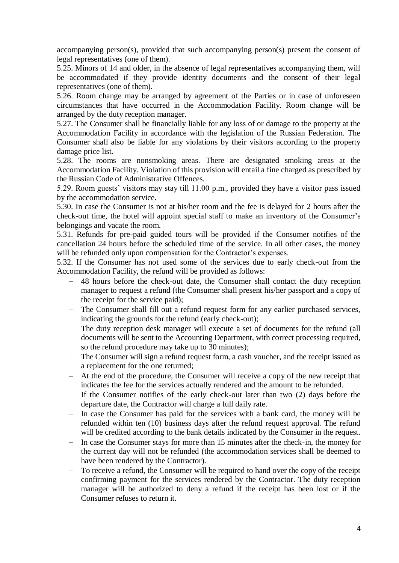accompanying person(s), provided that such accompanying person(s) present the consent of legal representatives (one of them).

5.25. Minors of 14 and older, in the absence of legal representatives accompanying them, will be accommodated if they provide identity documents and the consent of their legal representatives (one of them).

5.26. Room change may be arranged by agreement of the Parties or in case of unforeseen circumstances that have occurred in the Accommodation Facility. Room change will be arranged by the duty reception manager.

5.27. The Consumer shall be financially liable for any loss of or damage to the property at the Accommodation Facility in accordance with the legislation of the Russian Federation. The Consumer shall also be liable for any violations by their visitors according to the property damage price list.

5.28. The rooms are nonsmoking areas. There are designated smoking areas at the Accommodation Facility. Violation of this provision will entail a fine charged as prescribed by the Russian Code of Administrative Offences.

5.29. Room guests' visitors may stay till 11.00 p.m., provided they have a visitor pass issued by the accommodation service.

5.30. In case the Consumer is not at his/her room and the fee is delayed for 2 hours after the check-out time, the hotel will appoint special staff to make an inventory of the Consumer's belongings and vacate the room.

5.31. Refunds for pre-paid guided tours will be provided if the Consumer notifies of the cancellation 24 hours before the scheduled time of the service. In all other cases, the money will be refunded only upon compensation for the Contractor's expenses.

5.32. If the Consumer has not used some of the services due to early check-out from the Accommodation Facility, the refund will be provided as follows:

- 48 hours before the check-out date, the Consumer shall contact the duty reception manager to request a refund (the Consumer shall present his/her passport and a copy of the receipt for the service paid);
- The Consumer shall fill out a refund request form for any earlier purchased services, indicating the grounds for the refund (early check-out);
- The duty reception desk manager will execute a set of documents for the refund (all documents will be sent to the Accounting Department, with correct processing required, so the refund procedure may take up to 30 minutes);
- The Consumer will sign a refund request form, a cash voucher, and the receipt issued as a replacement for the one returned;
- At the end of the procedure, the Consumer will receive a copy of the new receipt that indicates the fee for the services actually rendered and the amount to be refunded.
- If the Consumer notifies of the early check-out later than two (2) days before the departure date, the Contractor will charge a full daily rate.
- In case the Consumer has paid for the services with a bank card, the money will be refunded within ten (10) business days after the refund request approval. The refund will be credited according to the bank details indicated by the Consumer in the request.
- In case the Consumer stays for more than 15 minutes after the check-in, the money for the current day will not be refunded (the accommodation services shall be deemed to have been rendered by the Contractor).
- To receive a refund, the Consumer will be required to hand over the copy of the receipt confirming payment for the services rendered by the Contractor. The duty reception manager will be authorized to deny a refund if the receipt has been lost or if the Consumer refuses to return it.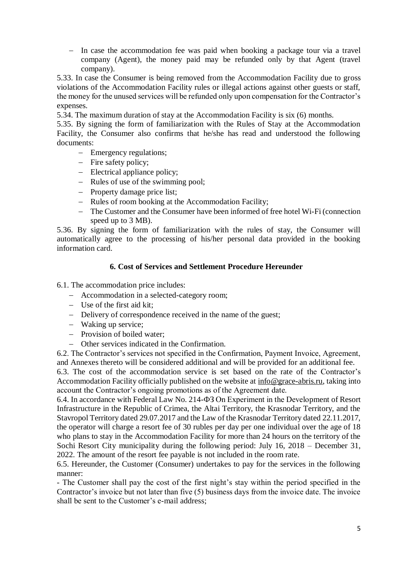- In case the accommodation fee was paid when booking a package tour via a travel company (Agent), the money paid may be refunded only by that Agent (travel company).

5.33. In case the Consumer is being removed from the Accommodation Facility due to gross violations of the Accommodation Facility rules or illegal actions against other guests or staff, the money for the unused services will be refunded only upon compensation for the Contractor's expenses.

5.34. The maximum duration of stay at the Accommodation Facility is six (6) months.

5.35. By signing the form of familiarization with the Rules of Stay at the Accommodation Facility, the Consumer also confirms that he/she has read and understood the following documents:

- Emergency regulations;
- Fire safety policy;
- Electrical appliance policy;
- Rules of use of the swimming pool;
- Property damage price list;
- Rules of room booking at the Accommodation Facility:
- The Customer and the Consumer have been informed of free hotel Wi-Fi (connection speed up to 3 MB).

5.36. By signing the form of familiarization with the rules of stay, the Consumer will automatically agree to the processing of his/her personal data provided in the booking information card.

### **6. Cost of Services and Settlement Procedure Hereunder**

6.1. The accommodation price includes:

- Accommodation in a selected-category room;
- Use of the first aid kit;
- Delivery of correspondence received in the name of the guest;
- Waking up service;
- Provision of boiled water:
- Other services indicated in the Confirmation.

6.2. The Contractor's services not specified in the Confirmation, Payment Invoice, Agreement, and Annexes thereto will be considered additional and will be provided for an additional fee.

6.3. The cost of the accommodation service is set based on the rate of the Contractor's Accommodation Facility officially published on the website at info@grace-abris.ru, taking into account the Contractor's ongoing promotions as of the Agreement date.

6.4. In accordance with Federal Law No. 214-ФЗ On Experiment in the Development of Resort Infrastructure in the Republic of Crimea, the Altai Territory, the Krasnodar Territory, and the Stavropol Territory dated 29.07.2017 and the Law of the Krasnodar Territory dated 22.11.2017, the operator will charge a resort fee of 30 rubles per day per one individual over the age of 18 who plans to stay in the Accommodation Facility for more than 24 hours on the territory of the Sochi Resort City municipality during the following period: July 16, 2018 – December 31, 2022. The amount of the resort fee payable is not included in the room rate.

6.5. Hereunder, the Customer (Consumer) undertakes to pay for the services in the following manner:

- The Customer shall pay the cost of the first night's stay within the period specified in the Contractor's invoice but not later than five (5) business days from the invoice date. The invoice shall be sent to the Customer's e-mail address;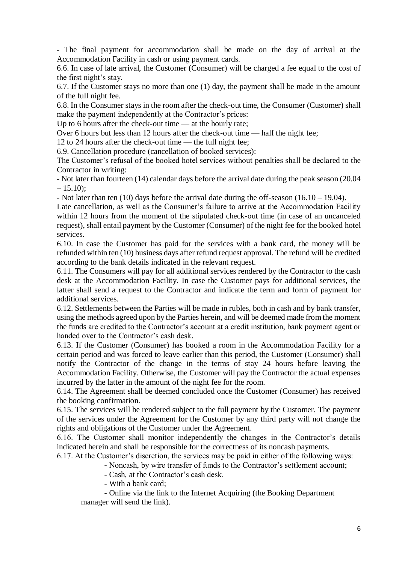- The final payment for accommodation shall be made on the day of arrival at the Accommodation Facility in cash or using payment cards.

6.6. In case of late arrival, the Customer (Consumer) will be charged a fee equal to the cost of the first night's stay.

6.7. If the Customer stays no more than one (1) day, the payment shall be made in the amount of the full night fee.

6.8. In the Consumer stays in the room after the check-out time, the Consumer (Customer) shall make the payment independently at the Contractor's prices:

Up to 6 hours after the check-out time — at the hourly rate;

Over 6 hours but less than 12 hours after the check-out time — half the night fee;

12 to 24 hours after the check-out time — the full night fee;

6.9. Cancellation procedure (cancellation of booked services):

The Customer's refusal of the booked hotel services without penalties shall be declared to the Contractor in writing:

- Not later than fourteen (14) calendar days before the arrival date during the peak season (20.04  $-15.10$ :

- Not later than ten (10) days before the arrival date during the off-season (16.10 – 19.04).

Late cancellation, as well as the Consumer's failure to arrive at the Accommodation Facility within 12 hours from the moment of the stipulated check-out time (in case of an uncanceled request), shall entail payment by the Customer (Consumer) of the night fee for the booked hotel services.

6.10. In case the Customer has paid for the services with a bank card, the money will be refunded within ten (10) business days after refund request approval. The refund will be credited according to the bank details indicated in the relevant request.

6.11. The Consumers will pay for all additional services rendered by the Contractor to the cash desk at the Accommodation Facility. In case the Customer pays for additional services, the latter shall send a request to the Contractor and indicate the term and form of payment for additional services.

6.12. Settlements between the Parties will be made in rubles, both in cash and by bank transfer, using the methods agreed upon by the Parties herein, and will be deemed made from the moment the funds are credited to the Contractor's account at a credit institution, bank payment agent or handed over to the Contractor's cash desk.

6.13. If the Customer (Consumer) has booked a room in the Accommodation Facility for a certain period and was forced to leave earlier than this period, the Customer (Consumer) shall notify the Contractor of the change in the terms of stay 24 hours before leaving the Accommodation Facility. Otherwise, the Customer will pay the Contractor the actual expenses incurred by the latter in the amount of the night fee for the room.

6.14. The Agreement shall be deemed concluded once the Customer (Consumer) has received the booking confirmation.

6.15. The services will be rendered subject to the full payment by the Customer. The payment of the services under the Agreement for the Customer by any third party will not change the rights and obligations of the Customer under the Agreement.

6.16. The Customer shall monitor independently the changes in the Contractor's details indicated herein and shall be responsible for the correctness of its noncash payments.

6.17. At the Customer's discretion, the services may be paid in either of the following ways:

- Noncash, by wire transfer of funds to the Contractor's settlement account;

- Cash, at the Contractor's cash desk.

- With a bank card;

- Online via the link to the Internet Acquiring (the Booking Department manager will send the link).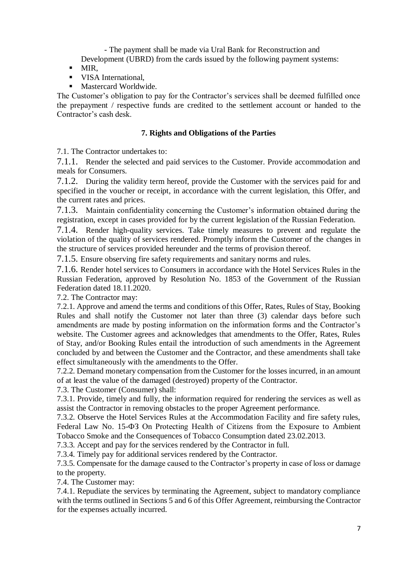- The payment shall be made via Ural Bank for Reconstruction and

Development (UBRD) from the cards issued by the following payment systems:

- $-MIR$ ,
- **VISA International.**
- **Mastercard Worldwide.**

The Customer's obligation to pay for the Contractor's services shall be deemed fulfilled once the prepayment / respective funds are credited to the settlement account or handed to the Contractor's cash desk.

## **7. Rights and Obligations of the Parties**

7.1. The Contractor undertakes to:

7.1.1. Render the selected and paid services to the Customer. Provide accommodation and meals for Consumers.

7.1.2. During the validity term hereof, provide the Customer with the services paid for and specified in the voucher or receipt, in accordance with the current legislation, this Offer, and the current rates and prices.

7.1.3. Maintain confidentiality concerning the Customer's information obtained during the registration, except in cases provided for by the current legislation of the Russian Federation.

7.1.4. Render high-quality services. Take timely measures to prevent and regulate the violation of the quality of services rendered. Promptly inform the Customer of the changes in the structure of services provided hereunder and the terms of provision thereof.

7.1.5. Ensure observing fire safety requirements and sanitary norms and rules.

7.1.6. Render hotel services to Consumers in accordance with the Hotel Services Rules in the Russian Federation, approved by Resolution No. 1853 of the Government of the Russian Federation dated 18.11.2020.

7.2. The Contractor may:

7.2.1. Approve and amend the terms and conditions of this Offer, Rates, Rules of Stay, Booking Rules and shall notify the Customer not later than three (3) calendar days before such amendments are made by posting information on the information forms and the Contractor's website. The Customer agrees and acknowledges that amendments to the Offer, Rates, Rules of Stay, and/or Booking Rules entail the introduction of such amendments in the Agreement concluded by and between the Customer and the Contractor, and these amendments shall take effect simultaneously with the amendments to the Offer.

7.2.2. Demand monetary compensation from the Customer for the losses incurred, in an amount of at least the value of the damaged (destroyed) property of the Contractor.

7.3. The Customer (Consumer) shall:

7.3.1. Provide, timely and fully, the information required for rendering the services as well as assist the Contractor in removing obstacles to the proper Agreement performance.

7.3.2. Observe the Hotel Services Rules at the Accommodation Facility and fire safety rules, Federal Law No. 15-ФЗ On Protecting Health of Citizens from the Exposure to Ambient Tobacco Smoke and the Consequences of Tobacco Consumption dated 23.02.2013.

7.3.3. Accept and pay for the services rendered by the Contractor in full.

7.3.4. Timely pay for additional services rendered by the Contractor.

7.3.5. Compensate for the damage caused to the Contractor's property in case of loss or damage to the property.

7.4. The Customer may:

7.4.1. Repudiate the services by terminating the Agreement, subject to mandatory compliance with the terms outlined in Sections 5 and 6 of this Offer Agreement, reimbursing the Contractor for the expenses actually incurred.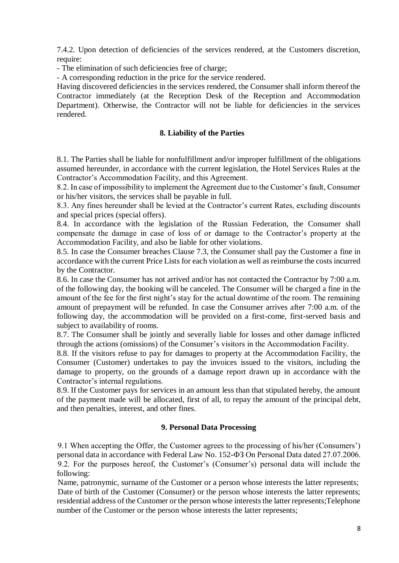7.4.2. Upon detection of deficiencies of the services rendered, at the Customers discretion, require:

- The elimination of such deficiencies free of charge;

- A corresponding reduction in the price for the service rendered.

Having discovered deficiencies in the services rendered, the Consumer shall inform thereof the Contractor immediately (at the Reception Desk of the Reception and Accommodation Department). Otherwise, the Contractor will not be liable for deficiencies in the services rendered.

## **8. Liability of the Parties**

8.1. The Parties shall be liable for nonfulfillment and/or improper fulfillment of the obligations assumed hereunder, in accordance with the current legislation, the Hotel Services Rules at the Contractor's Accommodation Facility, and this Agreement.

8.2. In case of impossibility to implement the Agreement due to the Customer's fault, Consumer or his/her visitors, the services shall be payable in full.

8.3. Any fines hereunder shall be levied at the Contractor's current Rates, excluding discounts and special prices (special offers).

8.4. In accordance with the legislation of the Russian Federation, the Consumer shall compensate the damage in case of loss of or damage to the Contractor's property at the Accommodation Facility, and also be liable for other violations.

8.5. In case the Consumer breaches Clause 7.3, the Consumer shall pay the Customer a fine in accordance with the current Price Lists for each violation as well as reimburse the costs incurred by the Contractor.

8.6. In case the Consumer has not arrived and/or has not contacted the Contractor by 7:00 a.m. of the following day, the booking will be canceled. The Consumer will be charged a fine in the amount of the fee for the first night's stay for the actual downtime of the room. The remaining amount of prepayment will be refunded. In case the Consumer arrives after 7:00 a.m. of the following day, the accommodation will be provided on a first-come, first-served basis and subject to availability of rooms.

8.7. The Consumer shall be jointly and severally liable for losses and other damage inflicted through the actions (omissions) of the Consumer's visitors in the Accommodation Facility.

8.8. If the visitors refuse to pay for damages to property at the Accommodation Facility, the Consumer (Customer) undertakes to pay the invoices issued to the visitors, including the damage to property, on the grounds of a damage report drawn up in accordance with the Contractor's internal regulations.

8.9. If the Customer pays for services in an amount less than that stipulated hereby, the amount of the payment made will be allocated, first of all, to repay the amount of the principal debt, and then penalties, interest, and other fines.

### **9. Personal Data Processing**

 9.1 When accepting the Offer, the Customer agrees to the processing of his/her (Consumers') personal data in accordance with Federal Law No. 152-ФЗ On Personal Data dated 27.07.2006. 9.2. For the purposes hereof, the Customer's (Consumer's) personal data will include the following:

 Name, patronymic, surname of the Customer or a person whose interests the latter represents; Date of birth of the Customer (Consumer) or the person whose interests the latter represents; residential address of the Customer or the person whose interests the latter represents;Telephone number of the Customer or the person whose interests the latter represents;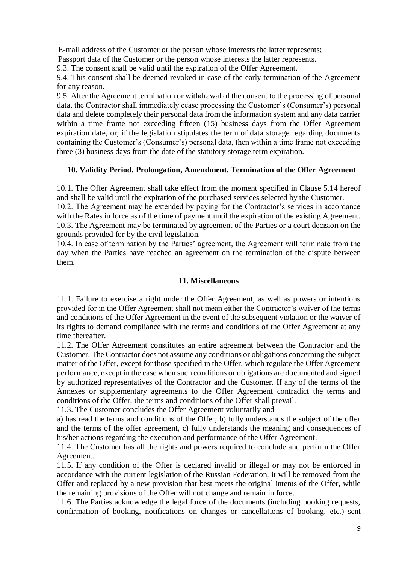E-mail address of the Customer or the person whose interests the latter represents;

Passport data of the Customer or the person whose interests the latter represents.

9.3. The consent shall be valid until the expiration of the Offer Agreement.

9.4. This consent shall be deemed revoked in case of the early termination of the Agreement for any reason.

9.5. After the Agreement termination or withdrawal of the consent to the processing of personal data, the Contractor shall immediately cease processing the Customer's (Consumer's) personal data and delete completely their personal data from the information system and any data carrier within a time frame not exceeding fifteen (15) business days from the Offer Agreement expiration date, or, if the legislation stipulates the term of data storage regarding documents containing the Customer's (Consumer's) personal data, then within a time frame not exceeding three (3) business days from the date of the statutory storage term expiration.

## **10. Validity Period, Prolongation, Amendment, Termination of the Offer Agreement**

10.1. The Offer Agreement shall take effect from the moment specified in Clause 5.14 hereof and shall be valid until the expiration of the purchased services selected by the Customer.

10.2. The Agreement may be extended by paying for the Contractor's services in accordance with the Rates in force as of the time of payment until the expiration of the existing Agreement. 10.3. The Agreement may be terminated by agreement of the Parties or a court decision on the grounds provided for by the civil legislation.

10.4. In case of termination by the Parties' agreement, the Agreement will terminate from the day when the Parties have reached an agreement on the termination of the dispute between them.

### **11. Miscellaneous**

11.1. Failure to exercise a right under the Offer Agreement, as well as powers or intentions provided for in the Offer Agreement shall not mean either the Contractor's waiver of the terms and conditions of the Offer Agreement in the event of the subsequent violation or the waiver of its rights to demand compliance with the terms and conditions of the Offer Agreement at any time thereafter.

11.2. The Offer Agreement constitutes an entire agreement between the Contractor and the Customer. The Contractor does not assume any conditions or obligations concerning the subject matter of the Offer, except for those specified in the Offer, which regulate the Offer Agreement performance, except in the case when such conditions or obligations are documented and signed by authorized representatives of the Contractor and the Customer. If any of the terms of the Annexes or supplementary agreements to the Offer Agreement contradict the terms and conditions of the Offer, the terms and conditions of the Offer shall prevail.

11.3. The Customer concludes the Offer Agreement voluntarily and

a) has read the terms and conditions of the Offer, b) fully understands the subject of the offer and the terms of the offer agreement, c) fully understands the meaning and consequences of his/her actions regarding the execution and performance of the Offer Agreement.

11.4. The Customer has all the rights and powers required to conclude and perform the Offer Agreement.

11.5. If any condition of the Offer is declared invalid or illegal or may not be enforced in accordance with the current legislation of the Russian Federation, it will be removed from the Offer and replaced by a new provision that best meets the original intents of the Offer, while the remaining provisions of the Offer will not change and remain in force.

11.6. The Parties acknowledge the legal force of the documents (including booking requests, confirmation of booking, notifications on changes or cancellations of booking, etc.) sent